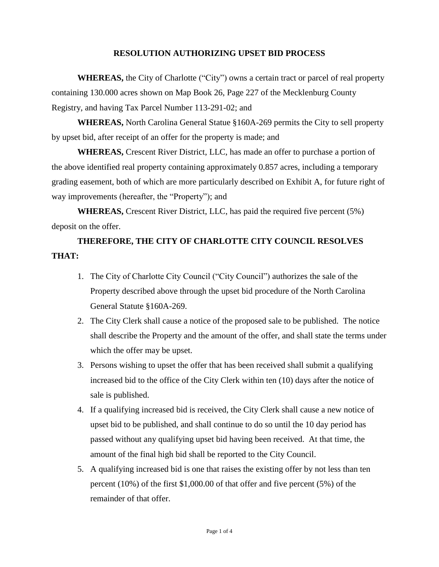### **RESOLUTION AUTHORIZING UPSET BID PROCESS**

**WHEREAS,** the City of Charlotte ("City") owns a certain tract or parcel of real property containing 130.000 acres shown on Map Book 26, Page 227 of the Mecklenburg County Registry, and having Tax Parcel Number 113-291-02; and

**WHEREAS,** North Carolina General Statue §160A-269 permits the City to sell property by upset bid, after receipt of an offer for the property is made; and

**WHEREAS,** Crescent River District, LLC, has made an offer to purchase a portion of the above identified real property containing approximately 0.857 acres, including a temporary grading easement, both of which are more particularly described on Exhibit A, for future right of way improvements (hereafter, the "Property"); and

**WHEREAS,** Crescent River District, LLC, has paid the required five percent (5%) deposit on the offer.

# **THEREFORE, THE CITY OF CHARLOTTE CITY COUNCIL RESOLVES THAT:**

- 1. The City of Charlotte City Council ("City Council") authorizes the sale of the Property described above through the upset bid procedure of the North Carolina General Statute §160A-269.
- 2. The City Clerk shall cause a notice of the proposed sale to be published. The notice shall describe the Property and the amount of the offer, and shall state the terms under which the offer may be upset.
- 3. Persons wishing to upset the offer that has been received shall submit a qualifying increased bid to the office of the City Clerk within ten (10) days after the notice of sale is published.
- 4. If a qualifying increased bid is received, the City Clerk shall cause a new notice of upset bid to be published, and shall continue to do so until the 10 day period has passed without any qualifying upset bid having been received. At that time, the amount of the final high bid shall be reported to the City Council.
- 5. A qualifying increased bid is one that raises the existing offer by not less than ten percent (10%) of the first \$1,000.00 of that offer and five percent (5%) of the remainder of that offer.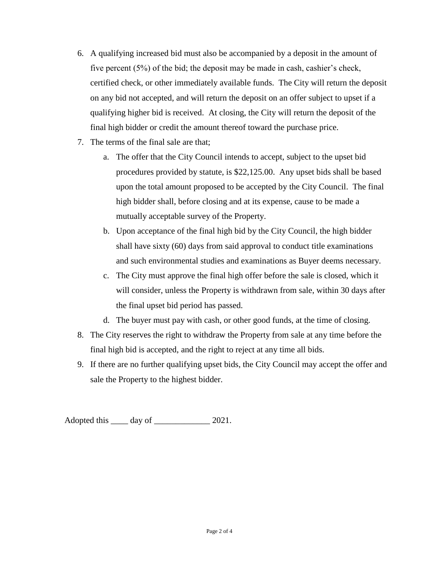- 6. A qualifying increased bid must also be accompanied by a deposit in the amount of five percent (5%) of the bid; the deposit may be made in cash, cashier's check, certified check, or other immediately available funds. The City will return the deposit on any bid not accepted, and will return the deposit on an offer subject to upset if a qualifying higher bid is received. At closing, the City will return the deposit of the final high bidder or credit the amount thereof toward the purchase price.
- 7. The terms of the final sale are that;
	- a. The offer that the City Council intends to accept, subject to the upset bid procedures provided by statute, is \$22,125.00. Any upset bids shall be based upon the total amount proposed to be accepted by the City Council. The final high bidder shall, before closing and at its expense, cause to be made a mutually acceptable survey of the Property.
	- b. Upon acceptance of the final high bid by the City Council, the high bidder shall have sixty (60) days from said approval to conduct title examinations and such environmental studies and examinations as Buyer deems necessary.
	- c. The City must approve the final high offer before the sale is closed, which it will consider, unless the Property is withdrawn from sale, within 30 days after the final upset bid period has passed.
	- d. The buyer must pay with cash, or other good funds, at the time of closing.
- 8. The City reserves the right to withdraw the Property from sale at any time before the final high bid is accepted, and the right to reject at any time all bids.
- 9. If there are no further qualifying upset bids, the City Council may accept the offer and sale the Property to the highest bidder.

Adopted this day of 2021.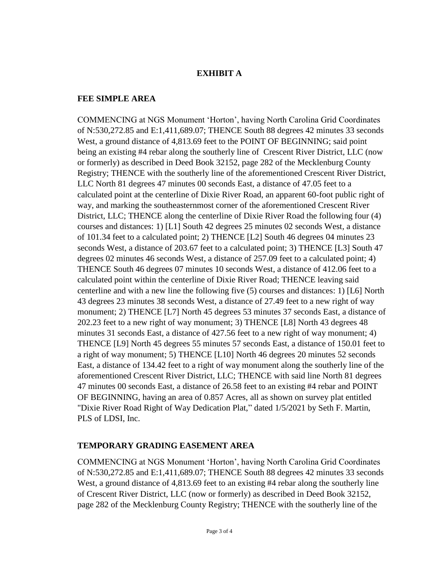### **EXHIBIT A**

#### **FEE SIMPLE AREA**

COMMENCING at NGS Monument 'Horton', having North Carolina Grid Coordinates of N:530,272.85 and E:1,411,689.07; THENCE South 88 degrees 42 minutes 33 seconds West, a ground distance of 4,813.69 feet to the POINT OF BEGINNING; said point being an existing #4 rebar along the southerly line of Crescent River District, LLC (now or formerly) as described in Deed Book 32152, page 282 of the Mecklenburg County Registry; THENCE with the southerly line of the aforementioned Crescent River District, LLC North 81 degrees 47 minutes 00 seconds East, a distance of 47.05 feet to a calculated point at the centerline of Dixie River Road, an apparent 60-foot public right of way, and marking the southeasternmost corner of the aforementioned Crescent River District, LLC; THENCE along the centerline of Dixie River Road the following four (4) courses and distances: 1) [L1] South 42 degrees 25 minutes 02 seconds West, a distance of 101.34 feet to a calculated point; 2) THENCE [L2] South 46 degrees 04 minutes 23 seconds West, a distance of 203.67 feet to a calculated point; 3) THENCE [L3] South 47 degrees 02 minutes 46 seconds West, a distance of 257.09 feet to a calculated point; 4) THENCE South 46 degrees 07 minutes 10 seconds West, a distance of 412.06 feet to a calculated point within the centerline of Dixie River Road; THENCE leaving said centerline and with a new line the following five (5) courses and distances: 1) [L6] North 43 degrees 23 minutes 38 seconds West, a distance of 27.49 feet to a new right of way monument; 2) THENCE [L7] North 45 degrees 53 minutes 37 seconds East, a distance of 202.23 feet to a new right of way monument; 3) THENCE [L8] North 43 degrees 48 minutes 31 seconds East, a distance of 427.56 feet to a new right of way monument; 4) THENCE [L9] North 45 degrees 55 minutes 57 seconds East, a distance of 150.01 feet to a right of way monument; 5) THENCE [L10] North 46 degrees 20 minutes 52 seconds East, a distance of 134.42 feet to a right of way monument along the southerly line of the aforementioned Crescent River District, LLC; THENCE with said line North 81 degrees 47 minutes 00 seconds East, a distance of 26.58 feet to an existing #4 rebar and POINT OF BEGINNING, having an area of 0.857 Acres, all as shown on survey plat entitled "Dixie River Road Right of Way Dedication Plat," dated 1/5/2021 by Seth F. Martin, PLS of LDSI, Inc.

## **TEMPORARY GRADING EASEMENT AREA**

COMMENCING at NGS Monument 'Horton', having North Carolina Grid Coordinates of N:530,272.85 and E:1,411,689.07; THENCE South 88 degrees 42 minutes 33 seconds West, a ground distance of 4,813.69 feet to an existing #4 rebar along the southerly line of Crescent River District, LLC (now or formerly) as described in Deed Book 32152, page 282 of the Mecklenburg County Registry; THENCE with the southerly line of the